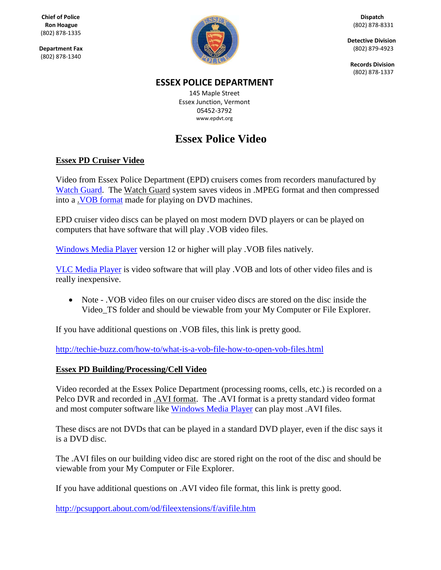(802) 878-1335

(802) 878-1340



**Detective Division**

 **Records Division** (802) 878-1337

### **ESSEX POLICE DEPARTMENT**

145 Maple Street Essex Junction, Vermont 05452-3792 [www.epdvt.org](http://www.epdvt.org/)

# **Essex Police Video**

### **Essex PD Cruiser Video**

Video from Essex Police Department (EPD) cruisers comes from recorders manufactured by [Watch Guard.](http://watchguardvideo.com/) The Watch Guard system saves videos in .MPEG format and then compressed into a [.VOB format](http://techie-buzz.com/how-to/what-is-a-vob-file-how-to-open-vob-files.html) made for playing on DVD machines.

EPD cruiser video discs can be played on most modern DVD players or can be played on computers that have software that will play .VOB video files.

[Windows Media Player](http://windows.microsoft.com/en-us/windows/products/windows-media-player) version 12 or higher will play .VOB files natively.

[VLC Media Player](http://www.videolan.org/vlc/) is video software that will play .VOB and lots of other video files and is really inexpensive.

 Note - .VOB video files on our cruiser video discs are stored on the disc inside the Video\_TS folder and should be viewable from your My Computer or File Explorer.

If you have additional questions on .VOB files, this link is pretty good.

<http://techie-buzz.com/how-to/what-is-a-vob-file-how-to-open-vob-files.html>

#### **Essex PD Building/Processing/Cell Video**

Video recorded at the Essex Police Department (processing rooms, cells, etc.) is recorded on a Pelco DVR and recorded in .AVI format. The .AVI format is a pretty standard video format and most computer software like [Windows Media](http://windows.microsoft.com/en-us/windows/products/windows-media-player) [Player](http://windows.microsoft.com/en-us/windows/products/windows-media-player) can play most .AVI files.

These discs are not DVDs that can be played in a standard DVD player, even if the disc says it is a DVD disc.

The .AVI files on our building video disc are stored right on the root of the disc and should be viewable from your My Computer or File Explorer.

If you have additional questions on .AVI video file format, this link is pretty good.

<http://pcsupport.about.com/od/fileextensions/f/avifile.htm>